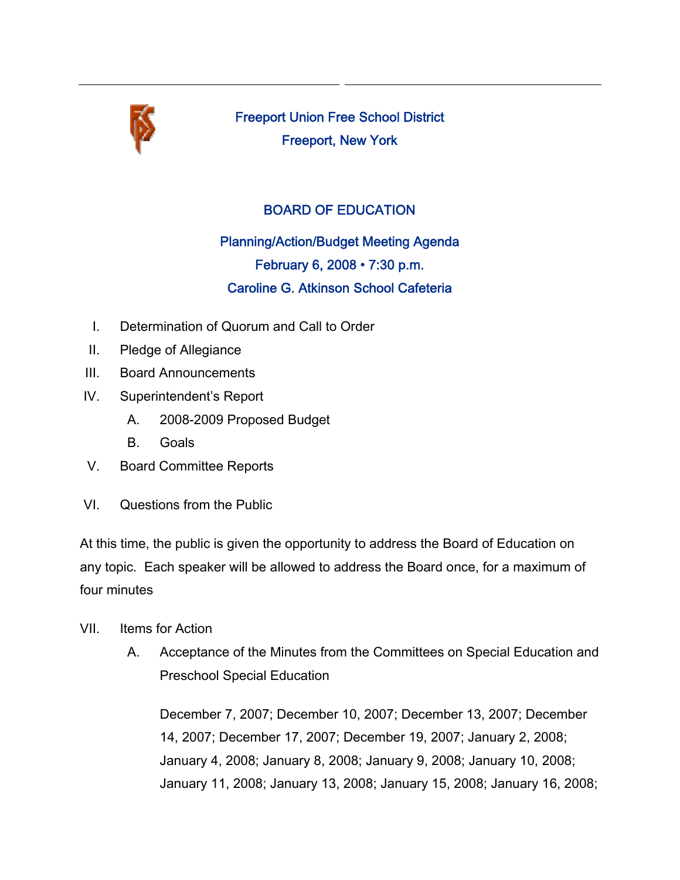

Freeport Union Free School District Freeport, New York

## BOARD OF EDUCATION

## Planning/Action/Budget Meeting Agenda February 6, 2008 • 7:30 p.m. Caroline G. Atkinson School Cafeteria

- I. Determination of Quorum and Call to Order
- II. Pledge of Allegiance
- III. Board Announcements
- IV. Superintendent's Report
	- A. 2008-2009 Proposed Budget
	- B. Goals
- V. Board Committee Reports
- VI. Questions from the Public

At this time, the public is given the opportunity to address the Board of Education on any topic. Each speaker will be allowed to address the Board once, for a maximum of four minutes

- VII. Items for Action
	- A. Acceptance of the Minutes from the Committees on Special Education and Preschool Special Education

December 7, 2007; December 10, 2007; December 13, 2007; December 14, 2007; December 17, 2007; December 19, 2007; January 2, 2008; January 4, 2008; January 8, 2008; January 9, 2008; January 10, 2008; January 11, 2008; January 13, 2008; January 15, 2008; January 16, 2008;